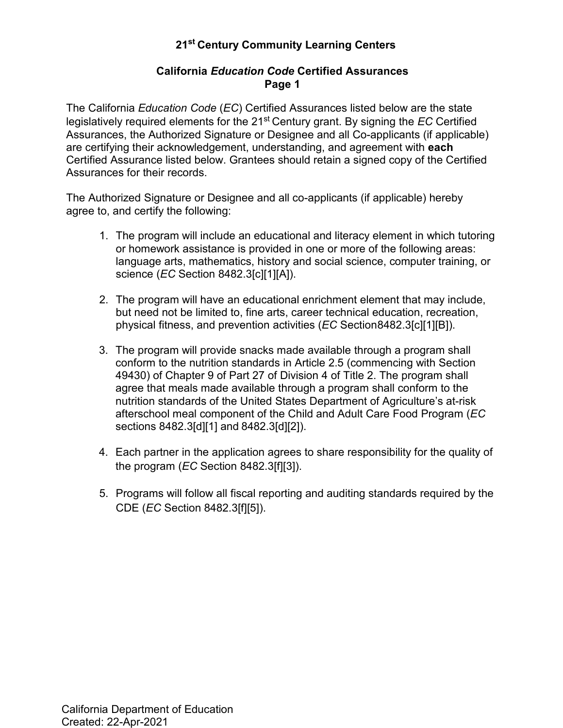### **California** *Education Code* **Certified Assurances Page 1**

The California *Education Code* (*EC*) Certified Assurances listed below are the state legislatively required elements for the 21st Century grant. By signing the *EC* Certified Assurances, the Authorized Signature or Designee and all Co-applicants (if applicable) are certifying their acknowledgement, understanding, and agreement with **each**  Certified Assurance listed below. Grantees should retain a signed copy of the Certified Assurances for their records.

The Authorized Signature or Designee and all co-applicants (if applicable) hereby agree to, and certify the following:

- 1. The program will include an educational and literacy element in which tutoring or homework assistance is provided in one or more of the following areas: language arts, mathematics, history and social science, computer training, or science (*EC* Section 8482.3[c][1][A]).
- 2. The program will have an educational enrichment element that may include, but need not be limited to, fine arts, career technical education, recreation, physical fitness, and prevention activities (*EC* Section8482.3[c][1][B]).
- agree that meals made available through a program shall conform to the 3. The program will provide snacks made available through a program shall conform to the nutrition standards in Article 2.5 (commencing with Section 49430) of Chapter 9 of Part 27 of Division 4 of Title 2. The program shall nutrition standards of the United States Department of Agriculture's at-risk afterschool meal component of the Child and Adult Care Food Program (*EC* sections 8482.3[d][1] and 8482.3[d][2]).
- 4. Each partner in the application agrees to share responsibility for the quality of the program (*EC* Section 8482.3[f][3]).
- 5. Programs will follow all fiscal reporting and auditing standards required by the CDE (*EC* Section 8482.3[f][5]).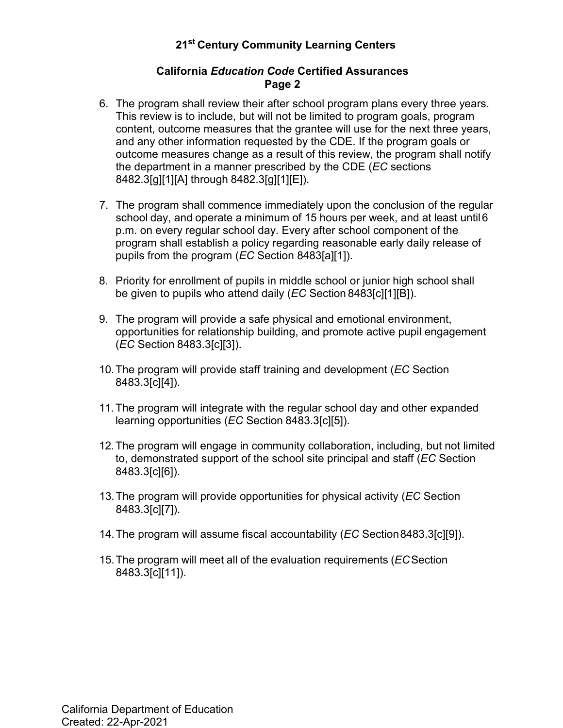#### **California** *Education Code* **Certified Assurances Page 2**

- 6. The program shall review their after school program plans every three years. This review is to include, but will not be limited to program goals, program content, outcome measures that the grantee will use for the next three years, and any other information requested by the CDE. If the program goals or outcome measures change as a result of this review, the program shall notify the department in a manner prescribed by the CDE (*EC* sections 8482.3[g][1][A] through 8482.3[g][1][E]).
- 7. The program shall commence immediately upon the conclusion of the regular school day, and operate a minimum of 15 hours per week, and at least until 6 p.m. on every regular school day. Every after school component of the program shall establish a policy regarding reasonable early daily release of pupils from the program (*EC* Section 8483[a][1]).
- 8. Priority for enrollment of pupils in middle school or junior high school shall be given to pupils who attend daily (*EC* Section 8483[c][1][B]).
- 9. The program will provide a safe physical and emotional environment, opportunities for relationship building, and promote active pupil engagement (*EC* Section 8483.3[c][3]).
- 10. The program will provide staff training and development (*EC* Section 8483.3[c][4]).
- 11. The program will integrate with the regular school day and other expanded learning opportunities (*EC* Section 8483.3[c][5]).
- 12. The program will engage in community collaboration, including, but not limited to, demonstrated support of the school site principal and staff (*EC* Section 8483.3[c][6]).
- 13. The program will provide opportunities for physical activity (*EC* Section 8483.3[c][7]).
- 14. The program will assume fiscal accountability (*EC* Section8483.3[c][9]).
- 15. The program will meet all of the evaluation requirements (*EC*Section 8483.3[c][11]).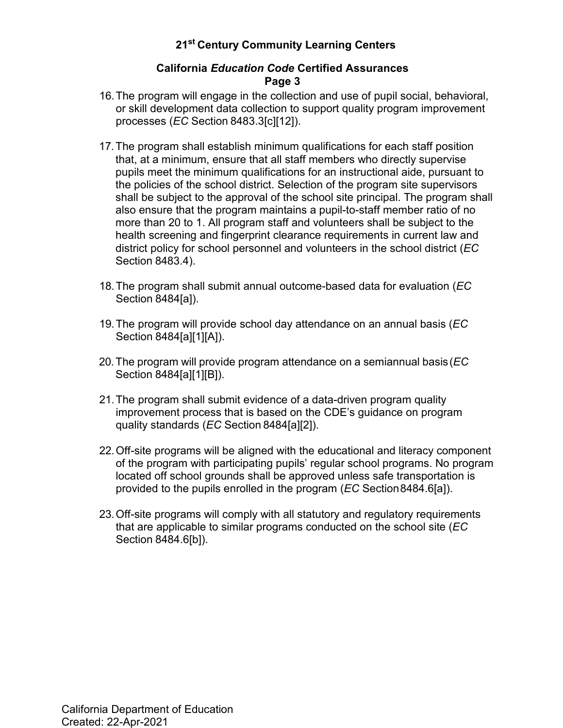#### **California** *Education Code* **Certified Assurances Page 3**

- 16. The program will engage in the collection and use of pupil social, behavioral, or skill development data collection to support quality program improvement processes (*EC* Section 8483.3[c][12]).
- 17. The program shall establish minimum qualifications for each staff position that, at a minimum, ensure that all staff members who directly supervise pupils meet the minimum qualifications for an instructional aide, pursuant to the policies of the school district. Selection of the program site supervisors shall be subject to the approval of the school site principal. The program shall also ensure that the program maintains a pupil-to-staff member ratio of no more than 20 to 1. All program staff and volunteers shall be subject to the health screening and fingerprint clearance requirements in current law and district policy for school personnel and volunteers in the school district (*EC* Section 8483.4).
- 18. The program shall submit annual outcome-based data for evaluation (*EC* Section 8484[a]).
- 19. The program will provide school day attendance on an annual basis (*EC* Section 8484[a][1][A]).
- 20.The program will provide program attendance on a semiannual basis(*EC* Section 8484[a][1][B]).
- 21. The program shall submit evidence of a data-driven program quality improvement process that is based on the CDE's guidance on program quality standards (*EC* Section 8484[a][2]).
- 22. Off-site programs will be aligned with the educational and literacy component of the program with participating pupils' regular school programs. No program located off school grounds shall be approved unless safe transportation is provided to the pupils enrolled in the program (*EC* Section8484.6[a]).
- 23. Off-site programs will comply with all statutory and regulatory requirements that are applicable to similar programs conducted on the school site (*EC* Section 8484.6[b]).